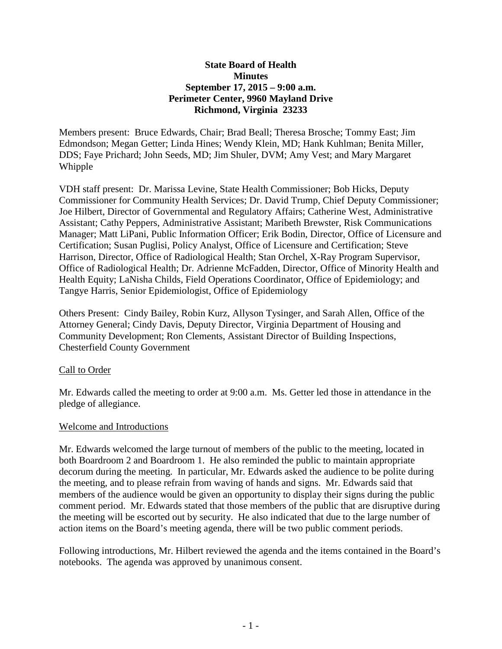# **State Board of Health Minutes September 17, 2015 – 9:00 a.m. Perimeter Center, 9960 Mayland Drive Richmond, Virginia 23233**

Members present: Bruce Edwards, Chair; Brad Beall; Theresa Brosche; Tommy East; Jim Edmondson; Megan Getter; Linda Hines; Wendy Klein, MD; Hank Kuhlman; Benita Miller, DDS; Faye Prichard; John Seeds, MD; Jim Shuler, DVM; Amy Vest; and Mary Margaret Whipple

VDH staff present: Dr. Marissa Levine, State Health Commissioner; Bob Hicks, Deputy Commissioner for Community Health Services; Dr. David Trump, Chief Deputy Commissioner; Joe Hilbert, Director of Governmental and Regulatory Affairs; Catherine West, Administrative Assistant; Cathy Peppers, Administrative Assistant; Maribeth Brewster, Risk Communications Manager; Matt LiPani, Public Information Officer; Erik Bodin, Director, Office of Licensure and Certification; Susan Puglisi, Policy Analyst, Office of Licensure and Certification; Steve Harrison, Director, Office of Radiological Health; Stan Orchel, X-Ray Program Supervisor, Office of Radiological Health; Dr. Adrienne McFadden, Director, Office of Minority Health and Health Equity; LaNisha Childs, Field Operations Coordinator, Office of Epidemiology; and Tangye Harris, Senior Epidemiologist, Office of Epidemiology

Others Present: Cindy Bailey, Robin Kurz, Allyson Tysinger, and Sarah Allen, Office of the Attorney General; Cindy Davis, Deputy Director, Virginia Department of Housing and Community Development; Ron Clements, Assistant Director of Building Inspections, Chesterfield County Government

## Call to Order

Mr. Edwards called the meeting to order at 9:00 a.m. Ms. Getter led those in attendance in the pledge of allegiance.

## Welcome and Introductions

Mr. Edwards welcomed the large turnout of members of the public to the meeting, located in both Boardroom 2 and Boardroom 1. He also reminded the public to maintain appropriate decorum during the meeting. In particular, Mr. Edwards asked the audience to be polite during the meeting, and to please refrain from waving of hands and signs. Mr. Edwards said that members of the audience would be given an opportunity to display their signs during the public comment period. Mr. Edwards stated that those members of the public that are disruptive during the meeting will be escorted out by security. He also indicated that due to the large number of action items on the Board's meeting agenda, there will be two public comment periods.

Following introductions, Mr. Hilbert reviewed the agenda and the items contained in the Board's notebooks. The agenda was approved by unanimous consent.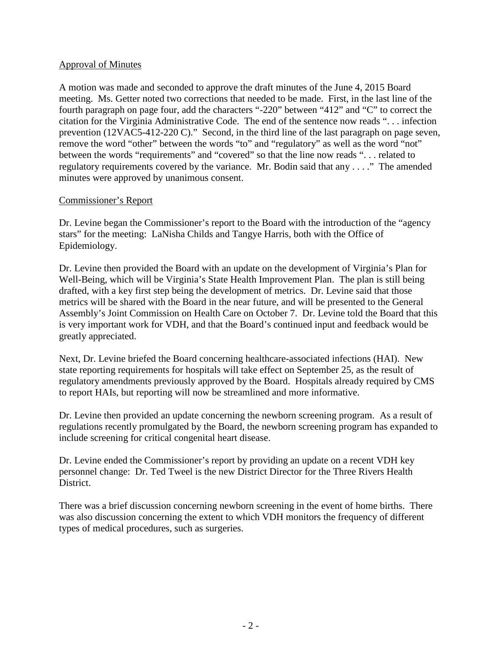# Approval of Minutes

A motion was made and seconded to approve the draft minutes of the June 4, 2015 Board meeting. Ms. Getter noted two corrections that needed to be made. First, in the last line of the fourth paragraph on page four, add the characters "-220" between "412" and "C" to correct the citation for the Virginia Administrative Code. The end of the sentence now reads ". . . infection prevention (12VAC5-412-220 C)." Second, in the third line of the last paragraph on page seven, remove the word "other" between the words "to" and "regulatory" as well as the word "not" between the words "requirements" and "covered" so that the line now reads ". . . related to regulatory requirements covered by the variance. Mr. Bodin said that any . . . ." The amended minutes were approved by unanimous consent.

# Commissioner's Report

Dr. Levine began the Commissioner's report to the Board with the introduction of the "agency stars" for the meeting: LaNisha Childs and Tangye Harris, both with the Office of Epidemiology.

Dr. Levine then provided the Board with an update on the development of Virginia's Plan for Well-Being, which will be Virginia's State Health Improvement Plan. The plan is still being drafted, with a key first step being the development of metrics. Dr. Levine said that those metrics will be shared with the Board in the near future, and will be presented to the General Assembly's Joint Commission on Health Care on October 7. Dr. Levine told the Board that this is very important work for VDH, and that the Board's continued input and feedback would be greatly appreciated.

Next, Dr. Levine briefed the Board concerning healthcare-associated infections (HAI). New state reporting requirements for hospitals will take effect on September 25, as the result of regulatory amendments previously approved by the Board. Hospitals already required by CMS to report HAIs, but reporting will now be streamlined and more informative.

Dr. Levine then provided an update concerning the newborn screening program. As a result of regulations recently promulgated by the Board, the newborn screening program has expanded to include screening for critical congenital heart disease.

Dr. Levine ended the Commissioner's report by providing an update on a recent VDH key personnel change: Dr. Ted Tweel is the new District Director for the Three Rivers Health District.

There was a brief discussion concerning newborn screening in the event of home births. There was also discussion concerning the extent to which VDH monitors the frequency of different types of medical procedures, such as surgeries.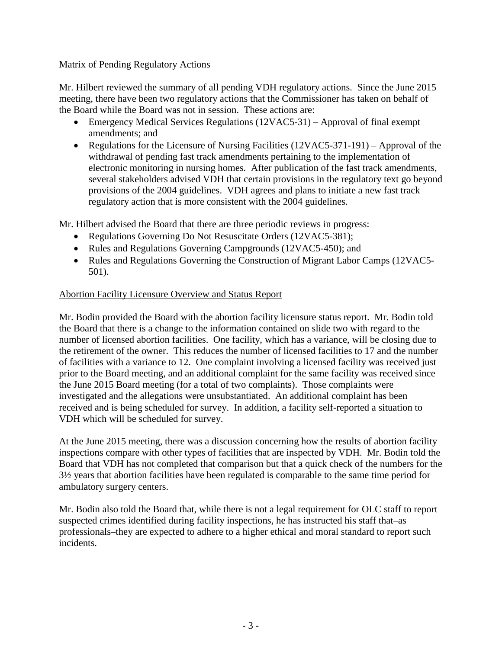# Matrix of Pending Regulatory Actions

Mr. Hilbert reviewed the summary of all pending VDH regulatory actions. Since the June 2015 meeting, there have been two regulatory actions that the Commissioner has taken on behalf of the Board while the Board was not in session. These actions are:

- Emergency Medical Services Regulations (12VAC5-31) Approval of final exempt amendments; and
- Regulations for the Licensure of Nursing Facilities (12VAC5-371-191) Approval of the withdrawal of pending fast track amendments pertaining to the implementation of electronic monitoring in nursing homes. After publication of the fast track amendments, several stakeholders advised VDH that certain provisions in the regulatory text go beyond provisions of the 2004 guidelines. VDH agrees and plans to initiate a new fast track regulatory action that is more consistent with the 2004 guidelines.

Mr. Hilbert advised the Board that there are three periodic reviews in progress:

- Regulations Governing Do Not Resuscitate Orders (12VAC5-381);
- Rules and Regulations Governing Campgrounds (12VAC5-450); and
- Rules and Regulations Governing the Construction of Migrant Labor Camps (12VAC5- 501).

# Abortion Facility Licensure Overview and Status Report

Mr. Bodin provided the Board with the abortion facility licensure status report. Mr. Bodin told the Board that there is a change to the information contained on slide two with regard to the number of licensed abortion facilities. One facility, which has a variance, will be closing due to the retirement of the owner. This reduces the number of licensed facilities to 17 and the number of facilities with a variance to 12. One complaint involving a licensed facility was received just prior to the Board meeting, and an additional complaint for the same facility was received since the June 2015 Board meeting (for a total of two complaints). Those complaints were investigated and the allegations were unsubstantiated. An additional complaint has been received and is being scheduled for survey. In addition, a facility self-reported a situation to VDH which will be scheduled for survey.

At the June 2015 meeting, there was a discussion concerning how the results of abortion facility inspections compare with other types of facilities that are inspected by VDH. Mr. Bodin told the Board that VDH has not completed that comparison but that a quick check of the numbers for the 3½ years that abortion facilities have been regulated is comparable to the same time period for ambulatory surgery centers.

Mr. Bodin also told the Board that, while there is not a legal requirement for OLC staff to report suspected crimes identified during facility inspections, he has instructed his staff that–as professionals–they are expected to adhere to a higher ethical and moral standard to report such incidents.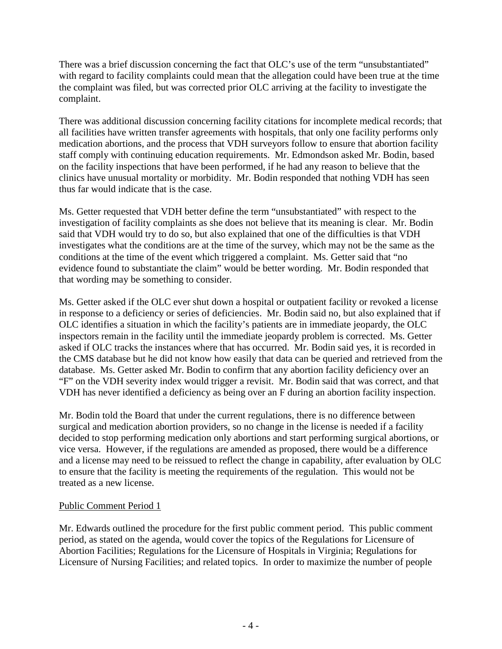There was a brief discussion concerning the fact that OLC's use of the term "unsubstantiated" with regard to facility complaints could mean that the allegation could have been true at the time the complaint was filed, but was corrected prior OLC arriving at the facility to investigate the complaint.

There was additional discussion concerning facility citations for incomplete medical records; that all facilities have written transfer agreements with hospitals, that only one facility performs only medication abortions, and the process that VDH surveyors follow to ensure that abortion facility staff comply with continuing education requirements. Mr. Edmondson asked Mr. Bodin, based on the facility inspections that have been performed, if he had any reason to believe that the clinics have unusual mortality or morbidity. Mr. Bodin responded that nothing VDH has seen thus far would indicate that is the case.

Ms. Getter requested that VDH better define the term "unsubstantiated" with respect to the investigation of facility complaints as she does not believe that its meaning is clear. Mr. Bodin said that VDH would try to do so, but also explained that one of the difficulties is that VDH investigates what the conditions are at the time of the survey, which may not be the same as the conditions at the time of the event which triggered a complaint. Ms. Getter said that "no evidence found to substantiate the claim" would be better wording. Mr. Bodin responded that that wording may be something to consider.

Ms. Getter asked if the OLC ever shut down a hospital or outpatient facility or revoked a license in response to a deficiency or series of deficiencies. Mr. Bodin said no, but also explained that if OLC identifies a situation in which the facility's patients are in immediate jeopardy, the OLC inspectors remain in the facility until the immediate jeopardy problem is corrected. Ms. Getter asked if OLC tracks the instances where that has occurred. Mr. Bodin said yes, it is recorded in the CMS database but he did not know how easily that data can be queried and retrieved from the database. Ms. Getter asked Mr. Bodin to confirm that any abortion facility deficiency over an "F" on the VDH severity index would trigger a revisit. Mr. Bodin said that was correct, and that VDH has never identified a deficiency as being over an F during an abortion facility inspection.

Mr. Bodin told the Board that under the current regulations, there is no difference between surgical and medication abortion providers, so no change in the license is needed if a facility decided to stop performing medication only abortions and start performing surgical abortions, or vice versa. However, if the regulations are amended as proposed, there would be a difference and a license may need to be reissued to reflect the change in capability, after evaluation by OLC to ensure that the facility is meeting the requirements of the regulation. This would not be treated as a new license.

# Public Comment Period 1

Mr. Edwards outlined the procedure for the first public comment period. This public comment period, as stated on the agenda, would cover the topics of the Regulations for Licensure of Abortion Facilities; Regulations for the Licensure of Hospitals in Virginia; Regulations for Licensure of Nursing Facilities; and related topics. In order to maximize the number of people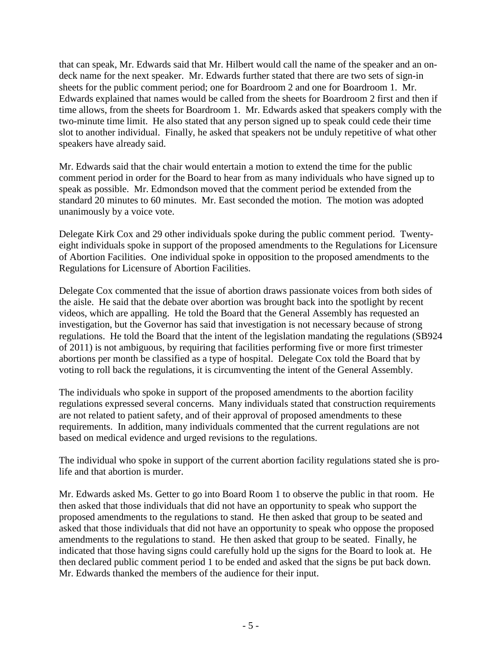that can speak, Mr. Edwards said that Mr. Hilbert would call the name of the speaker and an ondeck name for the next speaker. Mr. Edwards further stated that there are two sets of sign-in sheets for the public comment period; one for Boardroom 2 and one for Boardroom 1. Mr. Edwards explained that names would be called from the sheets for Boardroom 2 first and then if time allows, from the sheets for Boardroom 1. Mr. Edwards asked that speakers comply with the two-minute time limit. He also stated that any person signed up to speak could cede their time slot to another individual. Finally, he asked that speakers not be unduly repetitive of what other speakers have already said.

Mr. Edwards said that the chair would entertain a motion to extend the time for the public comment period in order for the Board to hear from as many individuals who have signed up to speak as possible. Mr. Edmondson moved that the comment period be extended from the standard 20 minutes to 60 minutes. Mr. East seconded the motion. The motion was adopted unanimously by a voice vote.

Delegate Kirk Cox and 29 other individuals spoke during the public comment period. Twentyeight individuals spoke in support of the proposed amendments to the Regulations for Licensure of Abortion Facilities. One individual spoke in opposition to the proposed amendments to the Regulations for Licensure of Abortion Facilities.

Delegate Cox commented that the issue of abortion draws passionate voices from both sides of the aisle. He said that the debate over abortion was brought back into the spotlight by recent videos, which are appalling. He told the Board that the General Assembly has requested an investigation, but the Governor has said that investigation is not necessary because of strong regulations. He told the Board that the intent of the legislation mandating the regulations (SB924 of 2011) is not ambiguous, by requiring that facilities performing five or more first trimester abortions per month be classified as a type of hospital. Delegate Cox told the Board that by voting to roll back the regulations, it is circumventing the intent of the General Assembly.

The individuals who spoke in support of the proposed amendments to the abortion facility regulations expressed several concerns. Many individuals stated that construction requirements are not related to patient safety, and of their approval of proposed amendments to these requirements. In addition, many individuals commented that the current regulations are not based on medical evidence and urged revisions to the regulations.

The individual who spoke in support of the current abortion facility regulations stated she is prolife and that abortion is murder.

Mr. Edwards asked Ms. Getter to go into Board Room 1 to observe the public in that room. He then asked that those individuals that did not have an opportunity to speak who support the proposed amendments to the regulations to stand. He then asked that group to be seated and asked that those individuals that did not have an opportunity to speak who oppose the proposed amendments to the regulations to stand. He then asked that group to be seated. Finally, he indicated that those having signs could carefully hold up the signs for the Board to look at. He then declared public comment period 1 to be ended and asked that the signs be put back down. Mr. Edwards thanked the members of the audience for their input.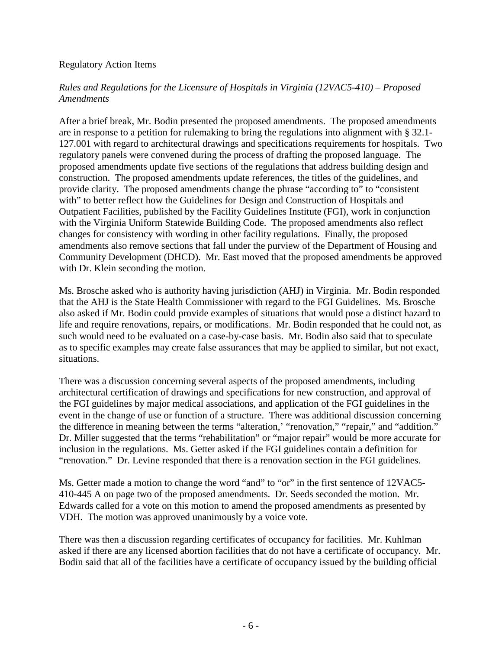#### Regulatory Action Items

# *Rules and Regulations for the Licensure of Hospitals in Virginia (12VAC5-410) – Proposed Amendments*

After a brief break, Mr. Bodin presented the proposed amendments. The proposed amendments are in response to a petition for rulemaking to bring the regulations into alignment with § 32.1- 127.001 with regard to architectural drawings and specifications requirements for hospitals. Two regulatory panels were convened during the process of drafting the proposed language. The proposed amendments update five sections of the regulations that address building design and construction. The proposed amendments update references, the titles of the guidelines, and provide clarity. The proposed amendments change the phrase "according to" to "consistent with" to better reflect how the Guidelines for Design and Construction of Hospitals and Outpatient Facilities, published by the Facility Guidelines Institute (FGI), work in conjunction with the Virginia Uniform Statewide Building Code. The proposed amendments also reflect changes for consistency with wording in other facility regulations. Finally, the proposed amendments also remove sections that fall under the purview of the Department of Housing and Community Development (DHCD). Mr. East moved that the proposed amendments be approved with Dr. Klein seconding the motion.

Ms. Brosche asked who is authority having jurisdiction (AHJ) in Virginia. Mr. Bodin responded that the AHJ is the State Health Commissioner with regard to the FGI Guidelines. Ms. Brosche also asked if Mr. Bodin could provide examples of situations that would pose a distinct hazard to life and require renovations, repairs, or modifications. Mr. Bodin responded that he could not, as such would need to be evaluated on a case-by-case basis. Mr. Bodin also said that to speculate as to specific examples may create false assurances that may be applied to similar, but not exact, situations.

There was a discussion concerning several aspects of the proposed amendments, including architectural certification of drawings and specifications for new construction, and approval of the FGI guidelines by major medical associations, and application of the FGI guidelines in the event in the change of use or function of a structure. There was additional discussion concerning the difference in meaning between the terms "alteration,' "renovation," "repair," and "addition." Dr. Miller suggested that the terms "rehabilitation" or "major repair" would be more accurate for inclusion in the regulations. Ms. Getter asked if the FGI guidelines contain a definition for "renovation." Dr. Levine responded that there is a renovation section in the FGI guidelines.

Ms. Getter made a motion to change the word "and" to "or" in the first sentence of 12VAC5- 410-445 A on page two of the proposed amendments. Dr. Seeds seconded the motion. Mr. Edwards called for a vote on this motion to amend the proposed amendments as presented by VDH. The motion was approved unanimously by a voice vote.

There was then a discussion regarding certificates of occupancy for facilities. Mr. Kuhlman asked if there are any licensed abortion facilities that do not have a certificate of occupancy. Mr. Bodin said that all of the facilities have a certificate of occupancy issued by the building official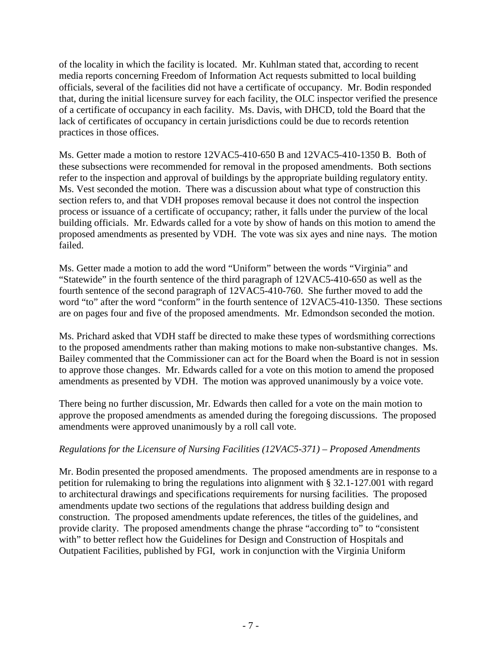of the locality in which the facility is located. Mr. Kuhlman stated that, according to recent media reports concerning Freedom of Information Act requests submitted to local building officials, several of the facilities did not have a certificate of occupancy. Mr. Bodin responded that, during the initial licensure survey for each facility, the OLC inspector verified the presence of a certificate of occupancy in each facility. Ms. Davis, with DHCD, told the Board that the lack of certificates of occupancy in certain jurisdictions could be due to records retention practices in those offices.

Ms. Getter made a motion to restore 12VAC5-410-650 B and 12VAC5-410-1350 B. Both of these subsections were recommended for removal in the proposed amendments. Both sections refer to the inspection and approval of buildings by the appropriate building regulatory entity. Ms. Vest seconded the motion. There was a discussion about what type of construction this section refers to, and that VDH proposes removal because it does not control the inspection process or issuance of a certificate of occupancy; rather, it falls under the purview of the local building officials. Mr. Edwards called for a vote by show of hands on this motion to amend the proposed amendments as presented by VDH. The vote was six ayes and nine nays. The motion failed.

Ms. Getter made a motion to add the word "Uniform" between the words "Virginia" and "Statewide" in the fourth sentence of the third paragraph of 12VAC5-410-650 as well as the fourth sentence of the second paragraph of 12VAC5-410-760. She further moved to add the word "to" after the word "conform" in the fourth sentence of 12VAC5-410-1350. These sections are on pages four and five of the proposed amendments. Mr. Edmondson seconded the motion.

Ms. Prichard asked that VDH staff be directed to make these types of wordsmithing corrections to the proposed amendments rather than making motions to make non-substantive changes. Ms. Bailey commented that the Commissioner can act for the Board when the Board is not in session to approve those changes. Mr. Edwards called for a vote on this motion to amend the proposed amendments as presented by VDH. The motion was approved unanimously by a voice vote.

There being no further discussion, Mr. Edwards then called for a vote on the main motion to approve the proposed amendments as amended during the foregoing discussions. The proposed amendments were approved unanimously by a roll call vote.

# *Regulations for the Licensure of Nursing Facilities (12VAC5-371) – Proposed Amendments*

Mr. Bodin presented the proposed amendments. The proposed amendments are in response to a petition for rulemaking to bring the regulations into alignment with § 32.1-127.001 with regard to architectural drawings and specifications requirements for nursing facilities. The proposed amendments update two sections of the regulations that address building design and construction. The proposed amendments update references, the titles of the guidelines, and provide clarity. The proposed amendments change the phrase "according to" to "consistent with" to better reflect how the Guidelines for Design and Construction of Hospitals and Outpatient Facilities, published by FGI, work in conjunction with the Virginia Uniform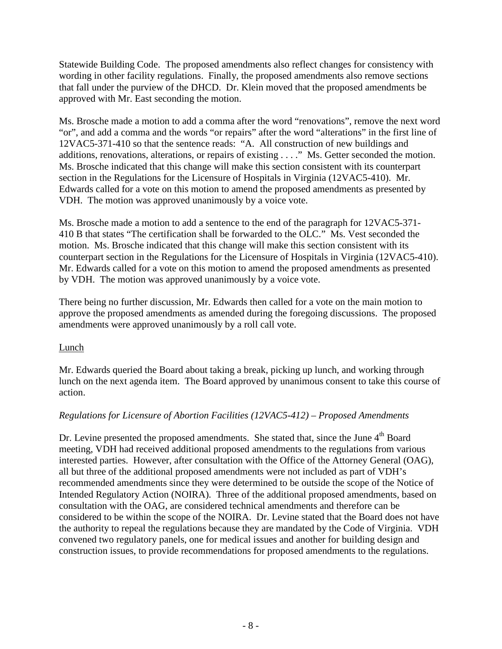Statewide Building Code. The proposed amendments also reflect changes for consistency with wording in other facility regulations. Finally, the proposed amendments also remove sections that fall under the purview of the DHCD. Dr. Klein moved that the proposed amendments be approved with Mr. East seconding the motion.

Ms. Brosche made a motion to add a comma after the word "renovations", remove the next word "or", and add a comma and the words "or repairs" after the word "alterations" in the first line of 12VAC5-371-410 so that the sentence reads: "A. All construction of new buildings and additions, renovations, alterations, or repairs of existing . . . ." Ms. Getter seconded the motion. Ms. Brosche indicated that this change will make this section consistent with its counterpart section in the Regulations for the Licensure of Hospitals in Virginia (12VAC5-410). Mr. Edwards called for a vote on this motion to amend the proposed amendments as presented by VDH. The motion was approved unanimously by a voice vote.

Ms. Brosche made a motion to add a sentence to the end of the paragraph for 12VAC5-371- 410 B that states "The certification shall be forwarded to the OLC." Ms. Vest seconded the motion. Ms. Brosche indicated that this change will make this section consistent with its counterpart section in the Regulations for the Licensure of Hospitals in Virginia (12VAC5-410). Mr. Edwards called for a vote on this motion to amend the proposed amendments as presented by VDH. The motion was approved unanimously by a voice vote.

There being no further discussion, Mr. Edwards then called for a vote on the main motion to approve the proposed amendments as amended during the foregoing discussions. The proposed amendments were approved unanimously by a roll call vote.

# Lunch

Mr. Edwards queried the Board about taking a break, picking up lunch, and working through lunch on the next agenda item. The Board approved by unanimous consent to take this course of action.

# *Regulations for Licensure of Abortion Facilities (12VAC5-412) – Proposed Amendments*

Dr. Levine presented the proposed amendments. She stated that, since the June 4<sup>th</sup> Board meeting, VDH had received additional proposed amendments to the regulations from various interested parties. However, after consultation with the Office of the Attorney General (OAG), all but three of the additional proposed amendments were not included as part of VDH's recommended amendments since they were determined to be outside the scope of the Notice of Intended Regulatory Action (NOIRA). Three of the additional proposed amendments, based on consultation with the OAG, are considered technical amendments and therefore can be considered to be within the scope of the NOIRA. Dr. Levine stated that the Board does not have the authority to repeal the regulations because they are mandated by the Code of Virginia. VDH convened two regulatory panels, one for medical issues and another for building design and construction issues, to provide recommendations for proposed amendments to the regulations.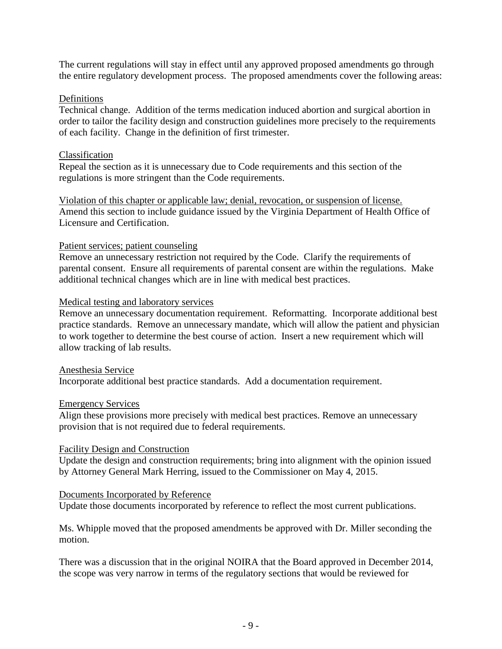The current regulations will stay in effect until any approved proposed amendments go through the entire regulatory development process. The proposed amendments cover the following areas:

## Definitions

Technical change. Addition of the terms medication induced abortion and surgical abortion in order to tailor the facility design and construction guidelines more precisely to the requirements of each facility. Change in the definition of first trimester.

## Classification

Repeal the section as it is unnecessary due to Code requirements and this section of the regulations is more stringent than the Code requirements.

Violation of this chapter or applicable law; denial, revocation, or suspension of license. Amend this section to include guidance issued by the Virginia Department of Health Office of Licensure and Certification.

## Patient services; patient counseling

Remove an unnecessary restriction not required by the Code. Clarify the requirements of parental consent. Ensure all requirements of parental consent are within the regulations. Make additional technical changes which are in line with medical best practices.

## Medical testing and laboratory services

Remove an unnecessary documentation requirement. Reformatting. Incorporate additional best practice standards. Remove an unnecessary mandate, which will allow the patient and physician to work together to determine the best course of action. Insert a new requirement which will allow tracking of lab results.

#### Anesthesia Service Incorporate additional best practice standards. Add a documentation requirement.

## Emergency Services

Align these provisions more precisely with medical best practices. Remove an unnecessary provision that is not required due to federal requirements.

## Facility Design and Construction

Update the design and construction requirements; bring into alignment with the opinion issued by Attorney General Mark Herring, issued to the Commissioner on May 4, 2015.

## Documents Incorporated by Reference

Update those documents incorporated by reference to reflect the most current publications.

Ms. Whipple moved that the proposed amendments be approved with Dr. Miller seconding the motion.

There was a discussion that in the original NOIRA that the Board approved in December 2014, the scope was very narrow in terms of the regulatory sections that would be reviewed for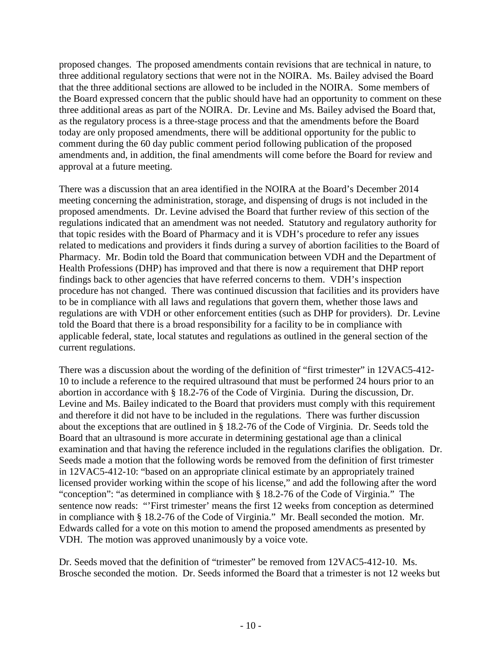proposed changes. The proposed amendments contain revisions that are technical in nature, to three additional regulatory sections that were not in the NOIRA. Ms. Bailey advised the Board that the three additional sections are allowed to be included in the NOIRA. Some members of the Board expressed concern that the public should have had an opportunity to comment on these three additional areas as part of the NOIRA. Dr. Levine and Ms. Bailey advised the Board that, as the regulatory process is a three-stage process and that the amendments before the Board today are only proposed amendments, there will be additional opportunity for the public to comment during the 60 day public comment period following publication of the proposed amendments and, in addition, the final amendments will come before the Board for review and approval at a future meeting.

There was a discussion that an area identified in the NOIRA at the Board's December 2014 meeting concerning the administration, storage, and dispensing of drugs is not included in the proposed amendments. Dr. Levine advised the Board that further review of this section of the regulations indicated that an amendment was not needed. Statutory and regulatory authority for that topic resides with the Board of Pharmacy and it is VDH's procedure to refer any issues related to medications and providers it finds during a survey of abortion facilities to the Board of Pharmacy. Mr. Bodin told the Board that communication between VDH and the Department of Health Professions (DHP) has improved and that there is now a requirement that DHP report findings back to other agencies that have referred concerns to them. VDH's inspection procedure has not changed. There was continued discussion that facilities and its providers have to be in compliance with all laws and regulations that govern them, whether those laws and regulations are with VDH or other enforcement entities (such as DHP for providers). Dr. Levine told the Board that there is a broad responsibility for a facility to be in compliance with applicable federal, state, local statutes and regulations as outlined in the general section of the current regulations.

There was a discussion about the wording of the definition of "first trimester" in 12VAC5-412- 10 to include a reference to the required ultrasound that must be performed 24 hours prior to an abortion in accordance with § 18.2-76 of the Code of Virginia. During the discussion, Dr. Levine and Ms. Bailey indicated to the Board that providers must comply with this requirement and therefore it did not have to be included in the regulations. There was further discussion about the exceptions that are outlined in § 18.2-76 of the Code of Virginia. Dr. Seeds told the Board that an ultrasound is more accurate in determining gestational age than a clinical examination and that having the reference included in the regulations clarifies the obligation. Dr. Seeds made a motion that the following words be removed from the definition of first trimester in 12VAC5-412-10: "based on an appropriate clinical estimate by an appropriately trained licensed provider working within the scope of his license," and add the following after the word "conception": "as determined in compliance with § 18.2-76 of the Code of Virginia." The sentence now reads: "'First trimester' means the first 12 weeks from conception as determined in compliance with § 18.2-76 of the Code of Virginia." Mr. Beall seconded the motion. Mr. Edwards called for a vote on this motion to amend the proposed amendments as presented by VDH. The motion was approved unanimously by a voice vote.

Dr. Seeds moved that the definition of "trimester" be removed from 12VAC5-412-10. Ms. Brosche seconded the motion. Dr. Seeds informed the Board that a trimester is not 12 weeks but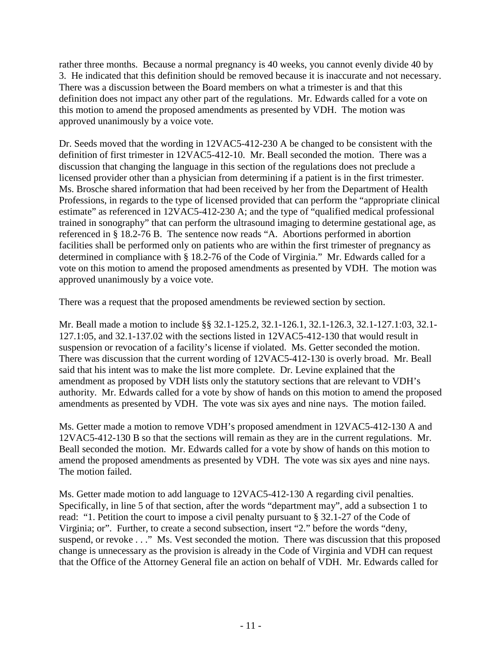rather three months. Because a normal pregnancy is 40 weeks, you cannot evenly divide 40 by 3. He indicated that this definition should be removed because it is inaccurate and not necessary. There was a discussion between the Board members on what a trimester is and that this definition does not impact any other part of the regulations. Mr. Edwards called for a vote on this motion to amend the proposed amendments as presented by VDH. The motion was approved unanimously by a voice vote.

Dr. Seeds moved that the wording in 12VAC5-412-230 A be changed to be consistent with the definition of first trimester in 12VAC5-412-10. Mr. Beall seconded the motion. There was a discussion that changing the language in this section of the regulations does not preclude a licensed provider other than a physician from determining if a patient is in the first trimester. Ms. Brosche shared information that had been received by her from the Department of Health Professions, in regards to the type of licensed provided that can perform the "appropriate clinical estimate" as referenced in 12VAC5-412-230 A; and the type of "qualified medical professional trained in sonography" that can perform the ultrasound imaging to determine gestational age, as referenced in § 18.2-76 B. The sentence now reads "A. Abortions performed in abortion facilities shall be performed only on patients who are within the first trimester of pregnancy as determined in compliance with § 18.2-76 of the Code of Virginia." Mr. Edwards called for a vote on this motion to amend the proposed amendments as presented by VDH. The motion was approved unanimously by a voice vote.

There was a request that the proposed amendments be reviewed section by section.

Mr. Beall made a motion to include §§ 32.1-125.2, 32.1-126.1, 32.1-126.3, 32.1-127.1:03, 32.1- 127.1:05, and 32.1-137.02 with the sections listed in 12VAC5-412-130 that would result in suspension or revocation of a facility's license if violated. Ms. Getter seconded the motion. There was discussion that the current wording of 12VAC5-412-130 is overly broad. Mr. Beall said that his intent was to make the list more complete. Dr. Levine explained that the amendment as proposed by VDH lists only the statutory sections that are relevant to VDH's authority. Mr. Edwards called for a vote by show of hands on this motion to amend the proposed amendments as presented by VDH. The vote was six ayes and nine nays. The motion failed.

Ms. Getter made a motion to remove VDH's proposed amendment in 12VAC5-412-130 A and 12VAC5-412-130 B so that the sections will remain as they are in the current regulations. Mr. Beall seconded the motion. Mr. Edwards called for a vote by show of hands on this motion to amend the proposed amendments as presented by VDH. The vote was six ayes and nine nays. The motion failed.

Ms. Getter made motion to add language to 12VAC5-412-130 A regarding civil penalties. Specifically, in line 5 of that section, after the words "department may", add a subsection 1 to read: "1. Petition the court to impose a civil penalty pursuant to § 32.1-27 of the Code of Virginia; or". Further, to create a second subsection, insert "2." before the words "deny, suspend, or revoke . . ." Ms. Vest seconded the motion. There was discussion that this proposed change is unnecessary as the provision is already in the Code of Virginia and VDH can request that the Office of the Attorney General file an action on behalf of VDH. Mr. Edwards called for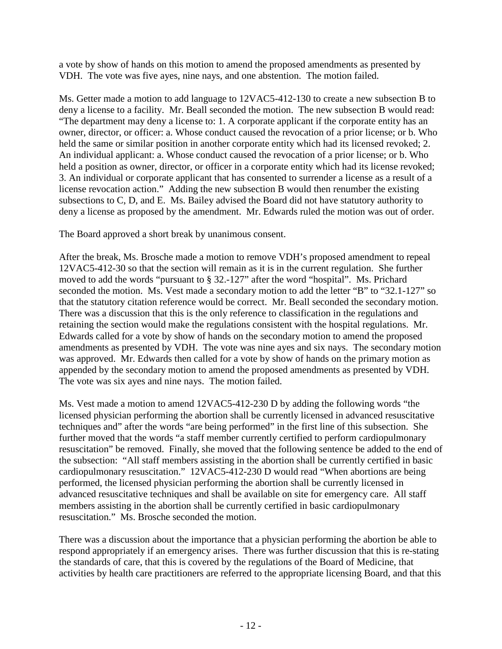a vote by show of hands on this motion to amend the proposed amendments as presented by VDH. The vote was five ayes, nine nays, and one abstention. The motion failed.

Ms. Getter made a motion to add language to 12VAC5-412-130 to create a new subsection B to deny a license to a facility. Mr. Beall seconded the motion. The new subsection B would read: "The department may deny a license to: 1. A corporate applicant if the corporate entity has an owner, director, or officer: a. Whose conduct caused the revocation of a prior license; or b. Who held the same or similar position in another corporate entity which had its licensed revoked; 2. An individual applicant: a. Whose conduct caused the revocation of a prior license; or b. Who held a position as owner, director, or officer in a corporate entity which had its license revoked; 3. An individual or corporate applicant that has consented to surrender a license as a result of a license revocation action." Adding the new subsection B would then renumber the existing subsections to C, D, and E. Ms. Bailey advised the Board did not have statutory authority to deny a license as proposed by the amendment. Mr. Edwards ruled the motion was out of order.

The Board approved a short break by unanimous consent.

After the break, Ms. Brosche made a motion to remove VDH's proposed amendment to repeal 12VAC5-412-30 so that the section will remain as it is in the current regulation. She further moved to add the words "pursuant to § 32.-127" after the word "hospital". Ms. Prichard seconded the motion. Ms. Vest made a secondary motion to add the letter "B" to "32.1-127" so that the statutory citation reference would be correct. Mr. Beall seconded the secondary motion. There was a discussion that this is the only reference to classification in the regulations and retaining the section would make the regulations consistent with the hospital regulations. Mr. Edwards called for a vote by show of hands on the secondary motion to amend the proposed amendments as presented by VDH. The vote was nine ayes and six nays. The secondary motion was approved. Mr. Edwards then called for a vote by show of hands on the primary motion as appended by the secondary motion to amend the proposed amendments as presented by VDH. The vote was six ayes and nine nays. The motion failed.

Ms. Vest made a motion to amend 12VAC5-412-230 D by adding the following words "the licensed physician performing the abortion shall be currently licensed in advanced resuscitative techniques and" after the words "are being performed" in the first line of this subsection. She further moved that the words "a staff member currently certified to perform cardiopulmonary resuscitation" be removed. Finally, she moved that the following sentence be added to the end of the subsection: "All staff members assisting in the abortion shall be currently certified in basic cardiopulmonary resuscitation." 12VAC5-412-230 D would read "When abortions are being performed, the licensed physician performing the abortion shall be currently licensed in advanced resuscitative techniques and shall be available on site for emergency care. All staff members assisting in the abortion shall be currently certified in basic cardiopulmonary resuscitation." Ms. Brosche seconded the motion.

There was a discussion about the importance that a physician performing the abortion be able to respond appropriately if an emergency arises. There was further discussion that this is re-stating the standards of care, that this is covered by the regulations of the Board of Medicine, that activities by health care practitioners are referred to the appropriate licensing Board, and that this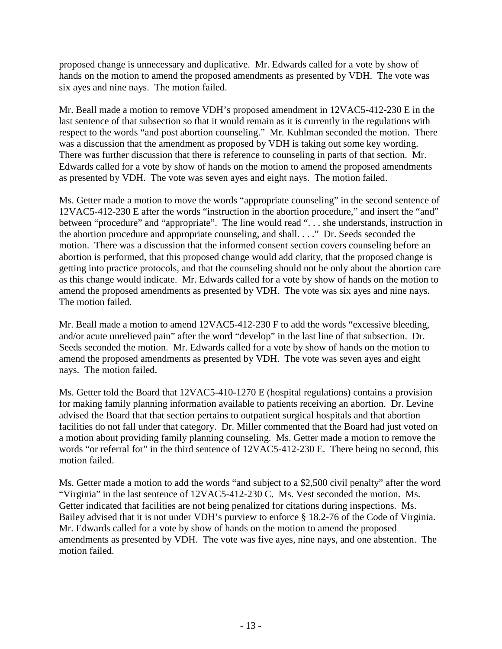proposed change is unnecessary and duplicative. Mr. Edwards called for a vote by show of hands on the motion to amend the proposed amendments as presented by VDH. The vote was six ayes and nine nays. The motion failed.

Mr. Beall made a motion to remove VDH's proposed amendment in 12VAC5-412-230 E in the last sentence of that subsection so that it would remain as it is currently in the regulations with respect to the words "and post abortion counseling." Mr. Kuhlman seconded the motion. There was a discussion that the amendment as proposed by VDH is taking out some key wording. There was further discussion that there is reference to counseling in parts of that section. Mr. Edwards called for a vote by show of hands on the motion to amend the proposed amendments as presented by VDH. The vote was seven ayes and eight nays. The motion failed.

Ms. Getter made a motion to move the words "appropriate counseling" in the second sentence of 12VAC5-412-230 E after the words "instruction in the abortion procedure," and insert the "and" between "procedure" and "appropriate". The line would read ". . . she understands, instruction in the abortion procedure and appropriate counseling, and shall. . . ." Dr. Seeds seconded the motion. There was a discussion that the informed consent section covers counseling before an abortion is performed, that this proposed change would add clarity, that the proposed change is getting into practice protocols, and that the counseling should not be only about the abortion care as this change would indicate. Mr. Edwards called for a vote by show of hands on the motion to amend the proposed amendments as presented by VDH. The vote was six ayes and nine nays. The motion failed.

Mr. Beall made a motion to amend 12VAC5-412-230 F to add the words "excessive bleeding, and/or acute unrelieved pain" after the word "develop" in the last line of that subsection. Dr. Seeds seconded the motion. Mr. Edwards called for a vote by show of hands on the motion to amend the proposed amendments as presented by VDH. The vote was seven ayes and eight nays. The motion failed.

Ms. Getter told the Board that 12VAC5-410-1270 E (hospital regulations) contains a provision for making family planning information available to patients receiving an abortion. Dr. Levine advised the Board that that section pertains to outpatient surgical hospitals and that abortion facilities do not fall under that category. Dr. Miller commented that the Board had just voted on a motion about providing family planning counseling. Ms. Getter made a motion to remove the words "or referral for" in the third sentence of 12VAC5-412-230 E. There being no second, this motion failed.

Ms. Getter made a motion to add the words "and subject to a \$2,500 civil penalty" after the word "Virginia" in the last sentence of 12VAC5-412-230 C. Ms. Vest seconded the motion. Ms. Getter indicated that facilities are not being penalized for citations during inspections. Ms. Bailey advised that it is not under VDH's purview to enforce § 18.2-76 of the Code of Virginia. Mr. Edwards called for a vote by show of hands on the motion to amend the proposed amendments as presented by VDH. The vote was five ayes, nine nays, and one abstention. The motion failed.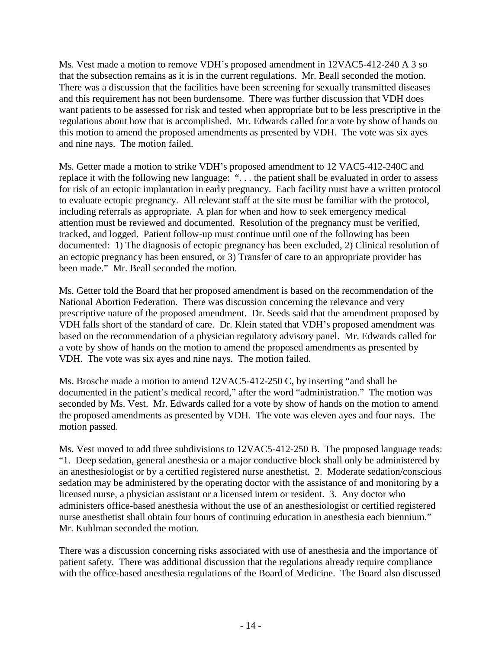Ms. Vest made a motion to remove VDH's proposed amendment in 12VAC5-412-240 A 3 so that the subsection remains as it is in the current regulations. Mr. Beall seconded the motion. There was a discussion that the facilities have been screening for sexually transmitted diseases and this requirement has not been burdensome. There was further discussion that VDH does want patients to be assessed for risk and tested when appropriate but to be less prescriptive in the regulations about how that is accomplished. Mr. Edwards called for a vote by show of hands on this motion to amend the proposed amendments as presented by VDH. The vote was six ayes and nine nays. The motion failed.

Ms. Getter made a motion to strike VDH's proposed amendment to 12 VAC5-412-240C and replace it with the following new language: "... the patient shall be evaluated in order to assess for risk of an ectopic implantation in early pregnancy. Each facility must have a written protocol to evaluate ectopic pregnancy. All relevant staff at the site must be familiar with the protocol, including referrals as appropriate. A plan for when and how to seek emergency medical attention must be reviewed and documented. Resolution of the pregnancy must be verified, tracked, and logged. Patient follow-up must continue until one of the following has been documented: 1) The diagnosis of ectopic pregnancy has been excluded, 2) Clinical resolution of an ectopic pregnancy has been ensured, or 3) Transfer of care to an appropriate provider has been made." Mr. Beall seconded the motion.

Ms. Getter told the Board that her proposed amendment is based on the recommendation of the National Abortion Federation. There was discussion concerning the relevance and very prescriptive nature of the proposed amendment. Dr. Seeds said that the amendment proposed by VDH falls short of the standard of care. Dr. Klein stated that VDH's proposed amendment was based on the recommendation of a physician regulatory advisory panel. Mr. Edwards called for a vote by show of hands on the motion to amend the proposed amendments as presented by VDH. The vote was six ayes and nine nays. The motion failed.

Ms. Brosche made a motion to amend 12VAC5-412-250 C, by inserting "and shall be documented in the patient's medical record," after the word "administration." The motion was seconded by Ms. Vest. Mr. Edwards called for a vote by show of hands on the motion to amend the proposed amendments as presented by VDH. The vote was eleven ayes and four nays. The motion passed.

Ms. Vest moved to add three subdivisions to 12VAC5-412-250 B. The proposed language reads: "1. Deep sedation, general anesthesia or a major conductive block shall only be administered by an anesthesiologist or by a certified registered nurse anesthetist. 2. Moderate sedation/conscious sedation may be administered by the operating doctor with the assistance of and monitoring by a licensed nurse, a physician assistant or a licensed intern or resident. 3. Any doctor who administers office-based anesthesia without the use of an anesthesiologist or certified registered nurse anesthetist shall obtain four hours of continuing education in anesthesia each biennium." Mr. Kuhlman seconded the motion.

There was a discussion concerning risks associated with use of anesthesia and the importance of patient safety. There was additional discussion that the regulations already require compliance with the office-based anesthesia regulations of the Board of Medicine. The Board also discussed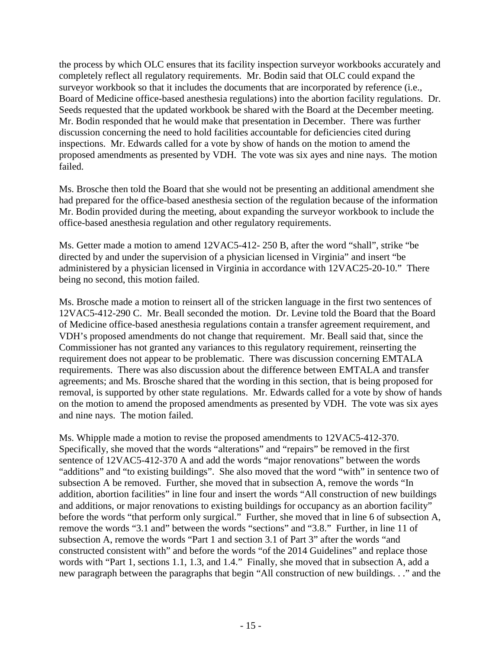the process by which OLC ensures that its facility inspection surveyor workbooks accurately and completely reflect all regulatory requirements. Mr. Bodin said that OLC could expand the surveyor workbook so that it includes the documents that are incorporated by reference (i.e., Board of Medicine office-based anesthesia regulations) into the abortion facility regulations. Dr. Seeds requested that the updated workbook be shared with the Board at the December meeting. Mr. Bodin responded that he would make that presentation in December. There was further discussion concerning the need to hold facilities accountable for deficiencies cited during inspections. Mr. Edwards called for a vote by show of hands on the motion to amend the proposed amendments as presented by VDH. The vote was six ayes and nine nays. The motion failed.

Ms. Brosche then told the Board that she would not be presenting an additional amendment she had prepared for the office-based anesthesia section of the regulation because of the information Mr. Bodin provided during the meeting, about expanding the surveyor workbook to include the office-based anesthesia regulation and other regulatory requirements.

Ms. Getter made a motion to amend 12VAC5-412- 250 B, after the word "shall", strike "be directed by and under the supervision of a physician licensed in Virginia" and insert "be administered by a physician licensed in Virginia in accordance with 12VAC25-20-10." There being no second, this motion failed.

Ms. Brosche made a motion to reinsert all of the stricken language in the first two sentences of 12VAC5-412-290 C. Mr. Beall seconded the motion. Dr. Levine told the Board that the Board of Medicine office-based anesthesia regulations contain a transfer agreement requirement, and VDH's proposed amendments do not change that requirement. Mr. Beall said that, since the Commissioner has not granted any variances to this regulatory requirement, reinserting the requirement does not appear to be problematic. There was discussion concerning EMTALA requirements. There was also discussion about the difference between EMTALA and transfer agreements; and Ms. Brosche shared that the wording in this section, that is being proposed for removal, is supported by other state regulations. Mr. Edwards called for a vote by show of hands on the motion to amend the proposed amendments as presented by VDH. The vote was six ayes and nine nays. The motion failed.

Ms. Whipple made a motion to revise the proposed amendments to 12VAC5-412-370. Specifically, she moved that the words "alterations" and "repairs" be removed in the first sentence of 12VAC5-412-370 A and add the words "major renovations" between the words "additions" and "to existing buildings". She also moved that the word "with" in sentence two of subsection A be removed. Further, she moved that in subsection A, remove the words "In addition, abortion facilities" in line four and insert the words "All construction of new buildings and additions, or major renovations to existing buildings for occupancy as an abortion facility" before the words "that perform only surgical." Further, she moved that in line 6 of subsection A, remove the words "3.1 and" between the words "sections" and "3.8." Further, in line 11 of subsection A, remove the words "Part 1 and section 3.1 of Part 3" after the words "and constructed consistent with" and before the words "of the 2014 Guidelines" and replace those words with "Part 1, sections 1.1, 1.3, and 1.4." Finally, she moved that in subsection A, add a new paragraph between the paragraphs that begin "All construction of new buildings. . ." and the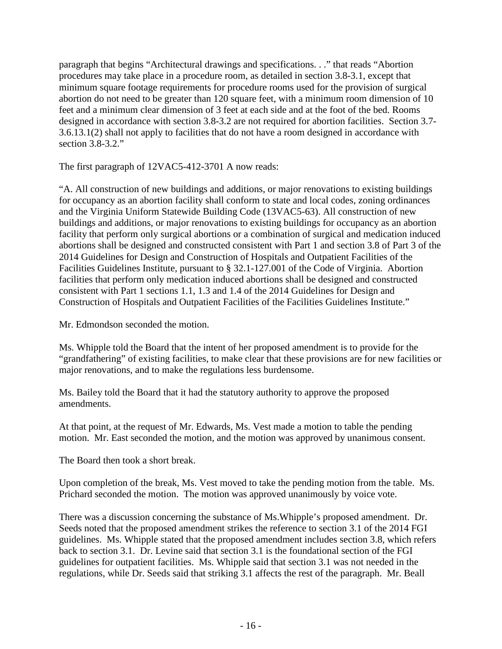paragraph that begins "Architectural drawings and specifications. . ." that reads "Abortion procedures may take place in a procedure room, as detailed in section 3.8-3.1, except that minimum square footage requirements for procedure rooms used for the provision of surgical abortion do not need to be greater than 120 square feet, with a minimum room dimension of 10 feet and a minimum clear dimension of 3 feet at each side and at the foot of the bed. Rooms designed in accordance with section 3.8-3.2 are not required for abortion facilities. Section 3.7- 3.6.13.1(2) shall not apply to facilities that do not have a room designed in accordance with section 3.8-3.2."

The first paragraph of 12VAC5-412-3701 A now reads:

"A. All construction of new buildings and additions, or major renovations to existing buildings for occupancy as an abortion facility shall conform to state and local codes, zoning ordinances and the Virginia Uniform Statewide Building Code (13VAC5-63). All construction of new buildings and additions, or major renovations to existing buildings for occupancy as an abortion facility that perform only surgical abortions or a combination of surgical and medication induced abortions shall be designed and constructed consistent with Part 1 and section 3.8 of Part 3 of the 2014 Guidelines for Design and Construction of Hospitals and Outpatient Facilities of the Facilities Guidelines Institute, pursuant to § 32.1-127.001 of the Code of Virginia. Abortion facilities that perform only medication induced abortions shall be designed and constructed consistent with Part 1 sections 1.1, 1.3 and 1.4 of the 2014 Guidelines for Design and Construction of Hospitals and Outpatient Facilities of the Facilities Guidelines Institute."

Mr. Edmondson seconded the motion.

Ms. Whipple told the Board that the intent of her proposed amendment is to provide for the "grandfathering" of existing facilities, to make clear that these provisions are for new facilities or major renovations, and to make the regulations less burdensome.

Ms. Bailey told the Board that it had the statutory authority to approve the proposed amendments.

At that point, at the request of Mr. Edwards, Ms. Vest made a motion to table the pending motion. Mr. East seconded the motion, and the motion was approved by unanimous consent.

The Board then took a short break.

Upon completion of the break, Ms. Vest moved to take the pending motion from the table. Ms. Prichard seconded the motion. The motion was approved unanimously by voice vote.

There was a discussion concerning the substance of Ms.Whipple's proposed amendment. Dr. Seeds noted that the proposed amendment strikes the reference to section 3.1 of the 2014 FGI guidelines. Ms. Whipple stated that the proposed amendment includes section 3.8, which refers back to section 3.1. Dr. Levine said that section 3.1 is the foundational section of the FGI guidelines for outpatient facilities. Ms. Whipple said that section 3.1 was not needed in the regulations, while Dr. Seeds said that striking 3.1 affects the rest of the paragraph. Mr. Beall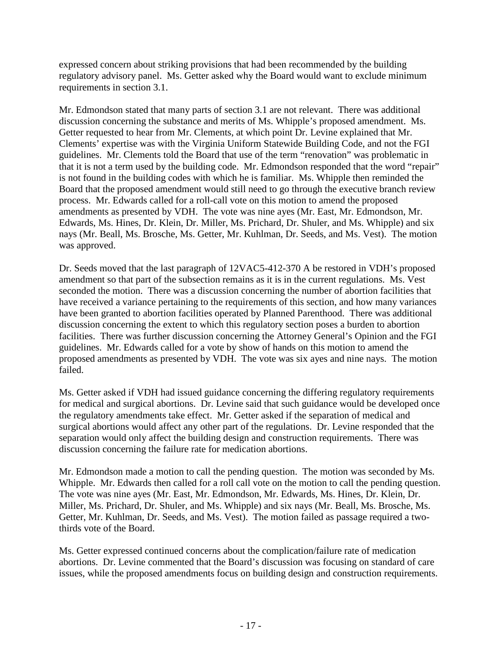expressed concern about striking provisions that had been recommended by the building regulatory advisory panel. Ms. Getter asked why the Board would want to exclude minimum requirements in section 3.1.

Mr. Edmondson stated that many parts of section 3.1 are not relevant. There was additional discussion concerning the substance and merits of Ms. Whipple's proposed amendment. Ms. Getter requested to hear from Mr. Clements, at which point Dr. Levine explained that Mr. Clements' expertise was with the Virginia Uniform Statewide Building Code, and not the FGI guidelines. Mr. Clements told the Board that use of the term "renovation" was problematic in that it is not a term used by the building code. Mr. Edmondson responded that the word "repair" is not found in the building codes with which he is familiar. Ms. Whipple then reminded the Board that the proposed amendment would still need to go through the executive branch review process. Mr. Edwards called for a roll-call vote on this motion to amend the proposed amendments as presented by VDH. The vote was nine ayes (Mr. East, Mr. Edmondson, Mr. Edwards, Ms. Hines, Dr. Klein, Dr. Miller, Ms. Prichard, Dr. Shuler, and Ms. Whipple) and six nays (Mr. Beall, Ms. Brosche, Ms. Getter, Mr. Kuhlman, Dr. Seeds, and Ms. Vest). The motion was approved.

Dr. Seeds moved that the last paragraph of 12VAC5-412-370 A be restored in VDH's proposed amendment so that part of the subsection remains as it is in the current regulations. Ms. Vest seconded the motion. There was a discussion concerning the number of abortion facilities that have received a variance pertaining to the requirements of this section, and how many variances have been granted to abortion facilities operated by Planned Parenthood. There was additional discussion concerning the extent to which this regulatory section poses a burden to abortion facilities. There was further discussion concerning the Attorney General's Opinion and the FGI guidelines. Mr. Edwards called for a vote by show of hands on this motion to amend the proposed amendments as presented by VDH. The vote was six ayes and nine nays. The motion failed.

Ms. Getter asked if VDH had issued guidance concerning the differing regulatory requirements for medical and surgical abortions. Dr. Levine said that such guidance would be developed once the regulatory amendments take effect. Mr. Getter asked if the separation of medical and surgical abortions would affect any other part of the regulations. Dr. Levine responded that the separation would only affect the building design and construction requirements. There was discussion concerning the failure rate for medication abortions.

Mr. Edmondson made a motion to call the pending question. The motion was seconded by Ms. Whipple. Mr. Edwards then called for a roll call vote on the motion to call the pending question. The vote was nine ayes (Mr. East, Mr. Edmondson, Mr. Edwards, Ms. Hines, Dr. Klein, Dr. Miller, Ms. Prichard, Dr. Shuler, and Ms. Whipple) and six nays (Mr. Beall, Ms. Brosche, Ms. Getter, Mr. Kuhlman, Dr. Seeds, and Ms. Vest). The motion failed as passage required a twothirds vote of the Board.

Ms. Getter expressed continued concerns about the complication/failure rate of medication abortions. Dr. Levine commented that the Board's discussion was focusing on standard of care issues, while the proposed amendments focus on building design and construction requirements.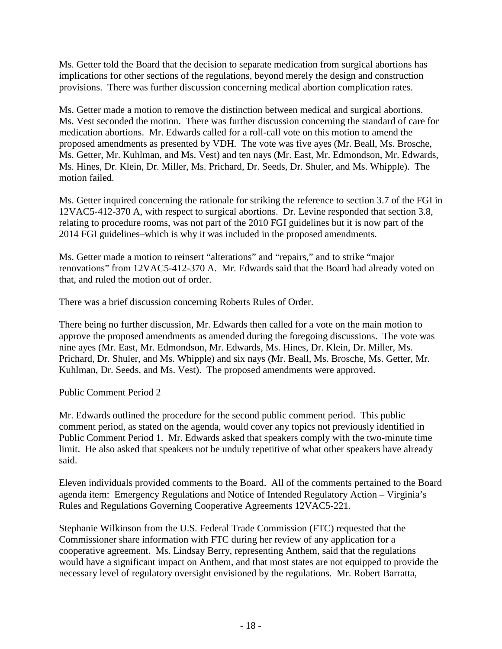Ms. Getter told the Board that the decision to separate medication from surgical abortions has implications for other sections of the regulations, beyond merely the design and construction provisions. There was further discussion concerning medical abortion complication rates.

Ms. Getter made a motion to remove the distinction between medical and surgical abortions. Ms. Vest seconded the motion. There was further discussion concerning the standard of care for medication abortions. Mr. Edwards called for a roll-call vote on this motion to amend the proposed amendments as presented by VDH. The vote was five ayes (Mr. Beall, Ms. Brosche, Ms. Getter, Mr. Kuhlman, and Ms. Vest) and ten nays (Mr. East, Mr. Edmondson, Mr. Edwards, Ms. Hines, Dr. Klein, Dr. Miller, Ms. Prichard, Dr. Seeds, Dr. Shuler, and Ms. Whipple). The motion failed.

Ms. Getter inquired concerning the rationale for striking the reference to section 3.7 of the FGI in 12VAC5-412-370 A, with respect to surgical abortions. Dr. Levine responded that section 3.8, relating to procedure rooms, was not part of the 2010 FGI guidelines but it is now part of the 2014 FGI guidelines–which is why it was included in the proposed amendments.

Ms. Getter made a motion to reinsert "alterations" and "repairs," and to strike "major renovations" from 12VAC5-412-370 A. Mr. Edwards said that the Board had already voted on that, and ruled the motion out of order.

There was a brief discussion concerning Roberts Rules of Order.

There being no further discussion, Mr. Edwards then called for a vote on the main motion to approve the proposed amendments as amended during the foregoing discussions. The vote was nine ayes (Mr. East, Mr. Edmondson, Mr. Edwards, Ms. Hines, Dr. Klein, Dr. Miller, Ms. Prichard, Dr. Shuler, and Ms. Whipple) and six nays (Mr. Beall, Ms. Brosche, Ms. Getter, Mr. Kuhlman, Dr. Seeds, and Ms. Vest). The proposed amendments were approved.

## Public Comment Period 2

Mr. Edwards outlined the procedure for the second public comment period. This public comment period, as stated on the agenda, would cover any topics not previously identified in Public Comment Period 1. Mr. Edwards asked that speakers comply with the two-minute time limit. He also asked that speakers not be unduly repetitive of what other speakers have already said.

Eleven individuals provided comments to the Board. All of the comments pertained to the Board agenda item: Emergency Regulations and Notice of Intended Regulatory Action – Virginia's Rules and Regulations Governing Cooperative Agreements 12VAC5-221.

Stephanie Wilkinson from the U.S. Federal Trade Commission (FTC) requested that the Commissioner share information with FTC during her review of any application for a cooperative agreement. Ms. Lindsay Berry, representing Anthem, said that the regulations would have a significant impact on Anthem, and that most states are not equipped to provide the necessary level of regulatory oversight envisioned by the regulations. Mr. Robert Barratta,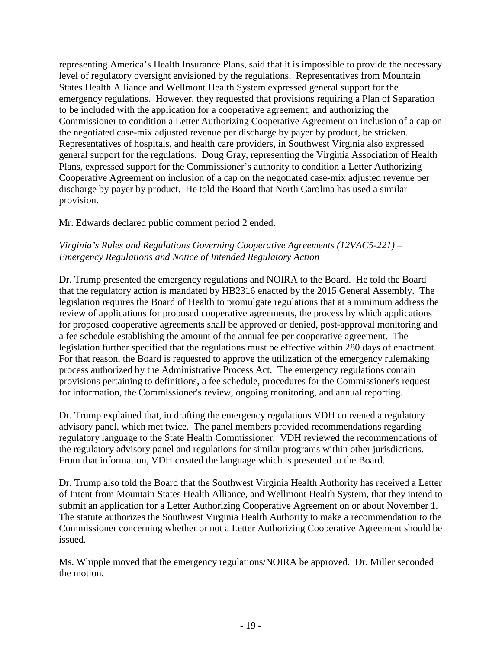representing America's Health Insurance Plans, said that it is impossible to provide the necessary level of regulatory oversight envisioned by the regulations. Representatives from Mountain States Health Alliance and Wellmont Health System expressed general support for the emergency regulations. However, they requested that provisions requiring a Plan of Separation to be included with the application for a cooperative agreement, and authorizing the Commissioner to condition a Letter Authorizing Cooperative Agreement on inclusion of a cap on the negotiated case-mix adjusted revenue per discharge by payer by product, be stricken. Representatives of hospitals, and health care providers, in Southwest Virginia also expressed general support for the regulations. Doug Gray, representing the Virginia Association of Health Plans, expressed support for the Commissioner's authority to condition a Letter Authorizing Cooperative Agreement on inclusion of a cap on the negotiated case-mix adjusted revenue per discharge by payer by product. He told the Board that North Carolina has used a similar provision.

Mr. Edwards declared public comment period 2 ended.

# *Virginia's Rules and Regulations Governing Cooperative Agreements (12VAC5-221) – Emergency Regulations and Notice of Intended Regulatory Action*

Dr. Trump presented the emergency regulations and NOIRA to the Board. He told the Board that the regulatory action is mandated by HB2316 enacted by the 2015 General Assembly. The legislation requires the Board of Health to promulgate regulations that at a minimum address the review of applications for proposed cooperative agreements, the process by which applications for proposed cooperative agreements shall be approved or denied, post-approval monitoring and a fee schedule establishing the amount of the annual fee per cooperative agreement. The legislation further specified that the regulations must be effective within 280 days of enactment. For that reason, the Board is requested to approve the utilization of the emergency rulemaking process authorized by the Administrative Process Act. The emergency regulations contain provisions pertaining to definitions, a fee schedule, procedures for the Commissioner's request for information, the Commissioner's review, ongoing monitoring, and annual reporting.

Dr. Trump explained that, in drafting the emergency regulations VDH convened a regulatory advisory panel, which met twice. The panel members provided recommendations regarding regulatory language to the State Health Commissioner. VDH reviewed the recommendations of the regulatory advisory panel and regulations for similar programs within other jurisdictions. From that information, VDH created the language which is presented to the Board.

Dr. Trump also told the Board that the Southwest Virginia Health Authority has received a Letter of Intent from Mountain States Health Alliance, and Wellmont Health System, that they intend to submit an application for a Letter Authorizing Cooperative Agreement on or about November 1. The statute authorizes the Southwest Virginia Health Authority to make a recommendation to the Commissioner concerning whether or not a Letter Authorizing Cooperative Agreement should be issued.

Ms. Whipple moved that the emergency regulations/NOIRA be approved. Dr. Miller seconded the motion.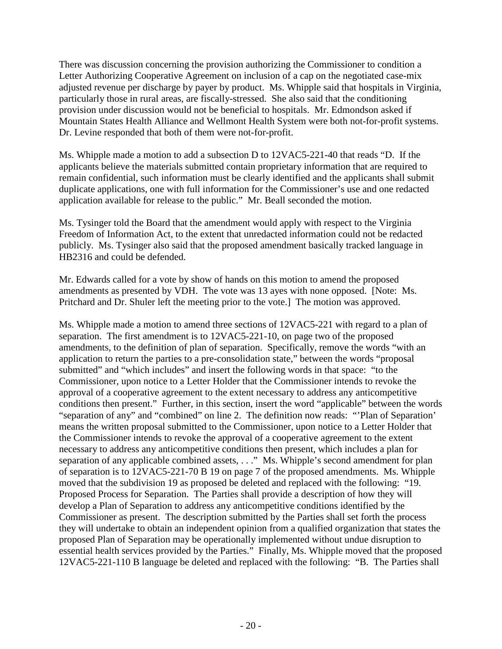There was discussion concerning the provision authorizing the Commissioner to condition a Letter Authorizing Cooperative Agreement on inclusion of a cap on the negotiated case-mix adjusted revenue per discharge by payer by product. Ms. Whipple said that hospitals in Virginia, particularly those in rural areas, are fiscally-stressed. She also said that the conditioning provision under discussion would not be beneficial to hospitals. Mr. Edmondson asked if Mountain States Health Alliance and Wellmont Health System were both not-for-profit systems. Dr. Levine responded that both of them were not-for-profit.

Ms. Whipple made a motion to add a subsection D to 12VAC5-221-40 that reads "D. If the applicants believe the materials submitted contain proprietary information that are required to remain confidential, such information must be clearly identified and the applicants shall submit duplicate applications, one with full information for the Commissioner's use and one redacted application available for release to the public." Mr. Beall seconded the motion.

Ms. Tysinger told the Board that the amendment would apply with respect to the Virginia Freedom of Information Act, to the extent that unredacted information could not be redacted publicly. Ms. Tysinger also said that the proposed amendment basically tracked language in HB2316 and could be defended.

Mr. Edwards called for a vote by show of hands on this motion to amend the proposed amendments as presented by VDH. The vote was 13 ayes with none opposed. [Note: Ms. Pritchard and Dr. Shuler left the meeting prior to the vote.] The motion was approved.

Ms. Whipple made a motion to amend three sections of 12VAC5-221 with regard to a plan of separation. The first amendment is to 12VAC5-221-10, on page two of the proposed amendments, to the definition of plan of separation. Specifically, remove the words "with an application to return the parties to a pre-consolidation state," between the words "proposal submitted" and "which includes" and insert the following words in that space: "to the Commissioner, upon notice to a Letter Holder that the Commissioner intends to revoke the approval of a cooperative agreement to the extent necessary to address any anticompetitive conditions then present." Further, in this section, insert the word "applicable" between the words "separation of any" and "combined" on line 2. The definition now reads: "'Plan of Separation' means the written proposal submitted to the Commissioner, upon notice to a Letter Holder that the Commissioner intends to revoke the approval of a cooperative agreement to the extent necessary to address any anticompetitive conditions then present, which includes a plan for separation of any applicable combined assets, . . ." Ms. Whipple's second amendment for plan of separation is to 12VAC5-221-70 B 19 on page 7 of the proposed amendments. Ms. Whipple moved that the subdivision 19 as proposed be deleted and replaced with the following: "19. Proposed Process for Separation. The Parties shall provide a description of how they will develop a Plan of Separation to address any anticompetitive conditions identified by the Commissioner as present. The description submitted by the Parties shall set forth the process they will undertake to obtain an independent opinion from a qualified organization that states the proposed Plan of Separation may be operationally implemented without undue disruption to essential health services provided by the Parties." Finally, Ms. Whipple moved that the proposed 12VAC5-221-110 B language be deleted and replaced with the following: "B. The Parties shall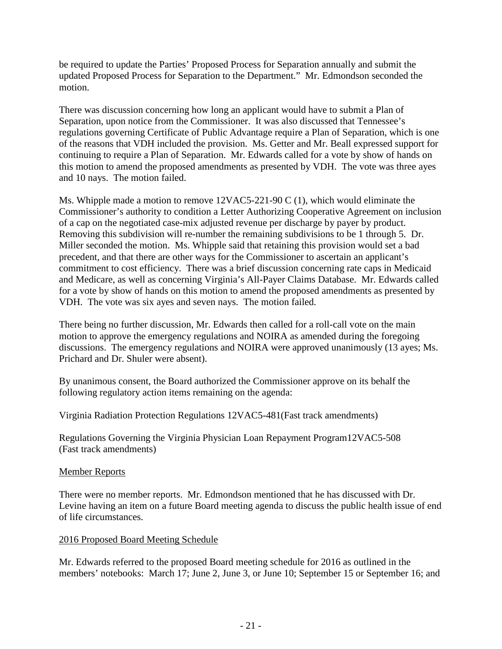be required to update the Parties' Proposed Process for Separation annually and submit the updated Proposed Process for Separation to the Department." Mr. Edmondson seconded the motion.

There was discussion concerning how long an applicant would have to submit a Plan of Separation, upon notice from the Commissioner. It was also discussed that Tennessee's regulations governing Certificate of Public Advantage require a Plan of Separation, which is one of the reasons that VDH included the provision. Ms. Getter and Mr. Beall expressed support for continuing to require a Plan of Separation. Mr. Edwards called for a vote by show of hands on this motion to amend the proposed amendments as presented by VDH. The vote was three ayes and 10 nays. The motion failed.

Ms. Whipple made a motion to remove 12VAC5-221-90 C (1), which would eliminate the Commissioner's authority to condition a Letter Authorizing Cooperative Agreement on inclusion of a cap on the negotiated case-mix adjusted revenue per discharge by payer by product. Removing this subdivision will re-number the remaining subdivisions to be 1 through 5. Dr. Miller seconded the motion. Ms. Whipple said that retaining this provision would set a bad precedent, and that there are other ways for the Commissioner to ascertain an applicant's commitment to cost efficiency. There was a brief discussion concerning rate caps in Medicaid and Medicare, as well as concerning Virginia's All-Payer Claims Database. Mr. Edwards called for a vote by show of hands on this motion to amend the proposed amendments as presented by VDH. The vote was six ayes and seven nays. The motion failed.

There being no further discussion, Mr. Edwards then called for a roll-call vote on the main motion to approve the emergency regulations and NOIRA as amended during the foregoing discussions. The emergency regulations and NOIRA were approved unanimously (13 ayes; Ms. Prichard and Dr. Shuler were absent).

By unanimous consent, the Board authorized the Commissioner approve on its behalf the following regulatory action items remaining on the agenda:

Virginia Radiation Protection Regulations 12VAC5-481(Fast track amendments)

Regulations Governing the Virginia Physician Loan Repayment Program12VAC5-508 (Fast track amendments)

## Member Reports

There were no member reports. Mr. Edmondson mentioned that he has discussed with Dr. Levine having an item on a future Board meeting agenda to discuss the public health issue of end of life circumstances.

## 2016 Proposed Board Meeting Schedule

Mr. Edwards referred to the proposed Board meeting schedule for 2016 as outlined in the members' notebooks: March 17; June 2, June 3, or June 10; September 15 or September 16; and